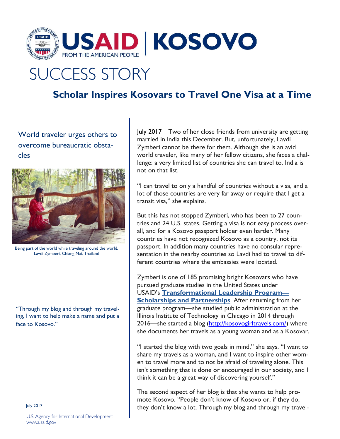

## **SUCCESS STORY**

## **Scholar Inspires Kosovars to Travel One Visa at a Time**

World traveler urges others to overcome bureaucratic obstacles



Being part of the world while traveling around the world. Lavdi Zymberi, Chiang Mai, Thailand

"Through my blog and through my traveling, I want to help make a name and put a face to Kosovo."

July 2017

U.S. Agency for International Development www.usaid.gov

July 2017—Two of her close friends from university are getting married in India this December. But, unfortunately, Lavdi Zymberi cannot be there for them. Although she is an avid world traveler, like many of her fellow citizens, she faces a challenge: a very limited list of countries she can travel to. India is not on that list.

"I can travel to only a handful of countries without a visa, and a lot of those countries are very far away or require that I get a transit visa," she explains.

But this has not stopped Zymberi, who has been to 27 countries and 24 U.S. states. Getting a visa is not easy process overall, and for a Kosovo passport holder even harder. Many countries have not recognized Kosovo as a country, not its passport. In addition many countries have no consular representation in the nearby countries so Lavdi had to travel to different countries where the embassies were located.

Zymberi is one of 185 promising bright Kosovars who have pursued graduate studies in the United States under USAID's **[Transformational](https://www.usaid.gov/kosovo/fact-sheets/transformational-leadership-program-scholarships-and-partnerships) Leadership Program— Scholarships and [Partnerships](https://www.usaid.gov/kosovo/fact-sheets/transformational-leadership-program-scholarships-and-partnerships)**. After returning from her graduate program—she studied public administration at the Illinois Institute of Technology in Chicago in 2014 through 2016—she started a blog [\(http://kosovogirltravels.com/\)](http://kosovogirltravels.com/) where she documents her travels as a young woman and as a Kosovar.

"I started the blog with two goals in mind," she says. "I want to share my travels as a woman, and I want to inspire other women to travel more and to not be afraid of traveling alone. This isn't something that is done or encouraged in our society, and I think it can be a great way of discovering yourself."

The second aspect of her blog is that she wants to help promote Kosovo. "People don't know of Kosovo or, if they do, they don't know a lot. Through my blog and through my travel